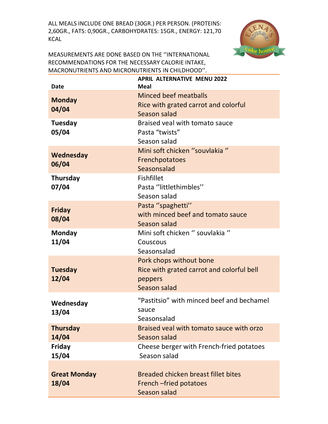ALL MEALS INCLUDE ONE BREAD (30GR.) PER PERSON. (PROTEINS: 2,60GR., FATS: 0,90GR., CARBOHYDRATES: 15GR., ENERGY: 121,70 KCAL



MEASUREMENTS ARE DONE BASED ON THE ''INTERNATIONAL RECOMMENDATIONS FOR THE NECESSARY CALORIE INTAKE, MACRONUTRIENTS AND MICRONUTRIENTS IN CHILDHOOD''.

| Date                         | <b>APRIL ALTERNATIVE MENU 2022</b><br><b>Meal</b>                                               |
|------------------------------|-------------------------------------------------------------------------------------------------|
| <b>Monday</b><br>04/04       | Minced beef meatballs<br>Rice with grated carrot and colorful<br>Season salad                   |
| Tuesday<br>05/04             | Braised yeal with tomato sauce<br>Pasta "twists"<br>Season salad                                |
| Wednesday<br>06/04           | Mini soft chicken "souvlakia"<br>Frenchpotatoes<br>Seasonsalad                                  |
| <b>Thursday</b><br>07/04     | <b>Fishfillet</b><br>Pasta "littlethimbles"<br>Season salad                                     |
| <b>Friday</b><br>08/04       | Pasta "spaghetti"<br>with minced beef and tomato sauce<br>Season salad                          |
| Monday<br>11/04              | Mini soft chicken " souvlakia "<br>Couscous<br>Seasonsalad                                      |
| <b>Tuesday</b><br>12/04      | Pork chops without bone<br>Rice with grated carrot and colorful bell<br>peppers<br>Season salad |
| Wednesday<br>13/04           | "Pastitsio" with minced beef and bechamel<br>sauce<br>Seasonsalad                               |
| <b>Thursday</b><br>14/04     | Braised veal with tomato sauce with orzo<br>Season salad                                        |
| Friday<br>15/04              | Cheese berger with French-fried potatoes<br>Season salad                                        |
| <b>Great Monday</b><br>18/04 | Breaded chicken breast fillet bites<br>French -fried potatoes<br><b>Season salad</b>            |